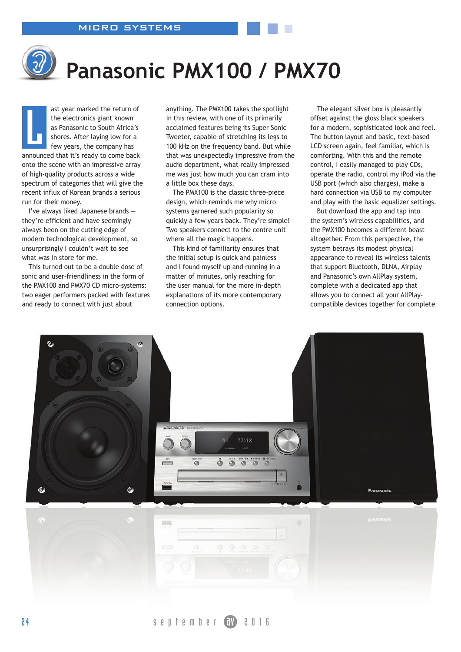## **Panasonic PMX100 / PMX70**

ast year marked the return of the electronics giant known as Panasonic to South Africa's shores. After laying low for a few years, the company has announced that it's ready to come back onto the scene with an impressive array of high-quality products across a wide spectrum of categories that will give the recent influx of Korean brands a serious run for their money. **L** 

I've always liked Japanese brands they're efficient and have seemingly always been on the cutting edge of modern technological development, so unsurprisingly I couldn't wait to see what was in store for me.

This turned out to be a double dose of sonic and user-friendliness in the form of the PMX100 and PMX70 CD micro-systems: two eager performers packed with features and ready to connect with just about

anything. The PMX100 takes the spotlight in this review, with one of its primarily acclaimed features being its Super Sonic Tweeter, capable of stretching its legs to 100 kHz on the frequency band. But while that was unexpectedly impressive from the audio department, what really impressed me was just how much you can cram into a little box these days.

The PMX100 is the classic three-piece design, which reminds me why micro systems garnered such popularity so quickly a few years back. They're simple! Two speakers connect to the centre unit where all the magic happens.

This kind of familiarity ensures that the initial setup is quick and painless and I found myself up and running in a matter of minutes, only reaching for the user manual for the more in-depth explanations of its more contemporary connection options.

The elegant silver box is pleasantly offset against the gloss black speakers for a modern, sophisticated look and feel. The button layout and basic, text-based LCD screen again, feel familiar, which is comforting. With this and the remote control, I easily managed to play CDs, operate the radio, control my iPod via the USB port (which also charges), make a hard connection via USB to my computer and play with the basic equalizer settings.

But download the app and tap into the system's wireless capabilities, and the PMX100 becomes a different beast altogether. From this perspective, the system betrays its modest physical appearance to reveal its wireless talents that support Bluetooth, DLNA, Airplay and Panasonic's own AllPlay system, complete with a dedicated app that allows you to connect all your AllPlaycompatible devices together for complete